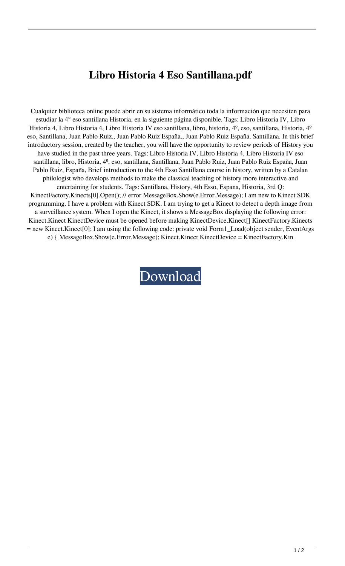## **Libro Historia 4 Eso Santillana.pdf**

Cualquier biblioteca online puede abrir en su sistema informático toda la información que necesiten para estudiar la 4° eso santillana Historia, en la siguiente página disponible. Tags: Libro Historia IV, Libro Historia 4, Libro Historia 4, Libro Historia IV eso santillana, libro, historia, 4º, eso, santillana, Historia, 4º eso, Santillana, Juan Pablo Ruiz., Juan Pablo Ruiz España., Juan Pablo Ruiz España. Santillana. In this brief introductory session, created by the teacher, you will have the opportunity to review periods of History you have studied in the past three years. Tags: Libro Historia IV, Libro Historia 4, Libro Historia IV eso santillana, libro, Historia, 4º, eso, santillana, Santillana, Juan Pablo Ruiz, Juan Pablo Ruiz España, Juan Pablo Ruiz, España, Brief introduction to the 4th Esso Santillana course in history, written by a Catalan philologist who develops methods to make the classical teaching of history more interactive and entertaining for students. Tags: Santillana, History, 4th Esso, Espana, Historia, 3rd Q: KinectFactory.Kinects[0].Open(); // error MessageBox.Show(e.Error.Message); I am new to Kinect SDK programming. I have a problem with Kinect SDK. I am trying to get a Kinect to detect a depth image from a surveillance system. When I open the Kinect, it shows a MessageBox displaying the following error: Kinect.Kinect KinectDevice must be opened before making KinectDevice.Kinect[] KinectFactory.Kinects = new Kinect.Kinect[0]; I am using the following code: private void Form1\_Load(object sender, EventArgs

e) { MessageBox.Show(e.Error.Message); Kinect.Kinect KinectDevice = KinectFactory.Kin